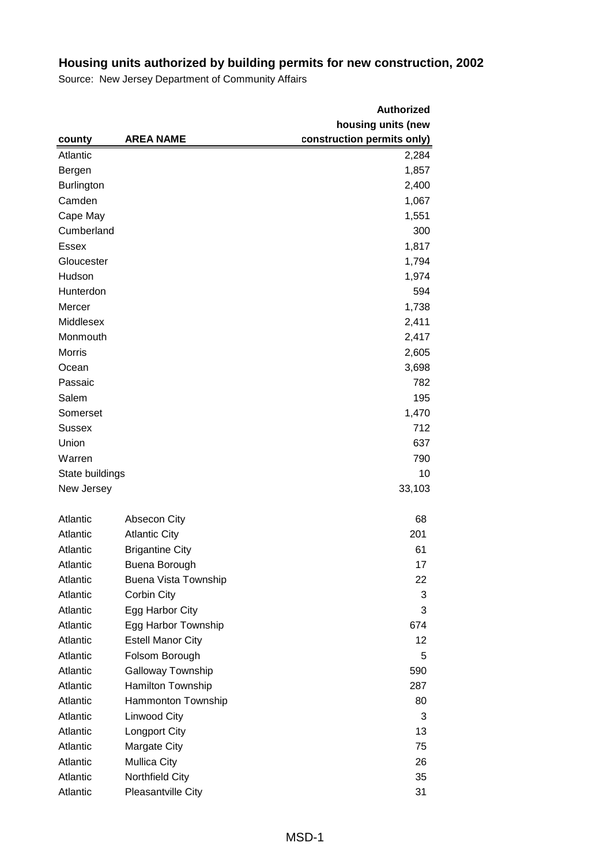|                   |                          | <b>Authorized</b>          |
|-------------------|--------------------------|----------------------------|
|                   |                          | housing units (new         |
| county            | <b>AREA NAME</b>         | construction permits only) |
| Atlantic          |                          | 2,284                      |
| Bergen            |                          | 1,857                      |
| <b>Burlington</b> |                          | 2,400                      |
| Camden            |                          | 1,067                      |
| Cape May          |                          | 1,551                      |
| Cumberland        |                          | 300                        |
| <b>Essex</b>      |                          | 1,817                      |
| Gloucester        |                          | 1,794                      |
| Hudson            |                          | 1,974                      |
| Hunterdon         |                          | 594                        |
| Mercer            |                          | 1,738                      |
| Middlesex         |                          | 2,411                      |
| Monmouth          |                          | 2,417                      |
| Morris            |                          | 2,605                      |
| Ocean             |                          | 3,698                      |
| Passaic           |                          | 782                        |
| Salem             |                          | 195                        |
| Somerset          |                          | 1,470                      |
| <b>Sussex</b>     |                          | 712                        |
| Union             |                          | 637                        |
| Warren            |                          | 790                        |
| State buildings   |                          | 10                         |
| New Jersey        |                          | 33,103                     |
|                   |                          |                            |
| Atlantic          | Absecon City             | 68                         |
| Atlantic          | <b>Atlantic City</b>     | 201                        |
| Atlantic          | <b>Brigantine City</b>   | 61                         |
| Atlantic          | Buena Borough            | 17                         |
| Atlantic          | Buena Vista Township     | 22                         |
| Atlantic          | Corbin City              | 3                          |
| Atlantic          | Egg Harbor City          | 3                          |
| Atlantic          | Egg Harbor Township      | 674                        |
| Atlantic          | <b>Estell Manor City</b> | 12                         |
| Atlantic          | Folsom Borough           | 5                          |
| Atlantic          | Galloway Township        | 590                        |
| Atlantic          | Hamilton Township        | 287                        |
| Atlantic          | Hammonton Township       | 80                         |
| Atlantic          | Linwood City             | 3                          |
| Atlantic          | Longport City            | 13                         |
| Atlantic          | <b>Margate City</b>      | 75                         |
| Atlantic          | <b>Mullica City</b>      | 26                         |
| Atlantic          | Northfield City          | 35                         |
| Atlantic          | Pleasantville City       | 31                         |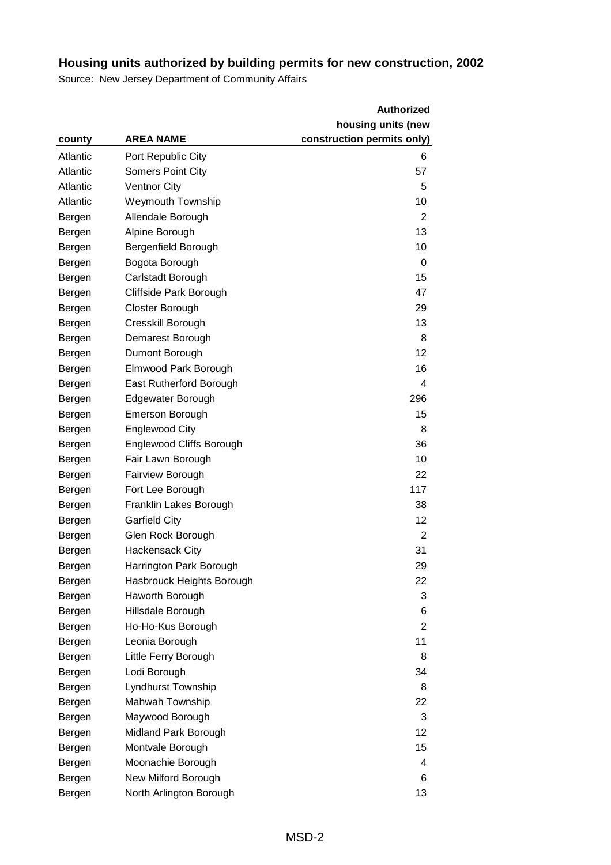|          |                                 | <b>Authorized</b>          |
|----------|---------------------------------|----------------------------|
|          |                                 | housing units (new         |
| county   | <b>AREA NAME</b>                | construction permits only) |
| Atlantic | Port Republic City              | 6                          |
| Atlantic | <b>Somers Point City</b>        | 57                         |
| Atlantic | <b>Ventnor City</b>             | 5                          |
| Atlantic | <b>Weymouth Township</b>        | 10                         |
| Bergen   | Allendale Borough               | 2                          |
| Bergen   | Alpine Borough                  | 13                         |
| Bergen   | Bergenfield Borough             | 10                         |
| Bergen   | Bogota Borough                  | 0                          |
| Bergen   | Carlstadt Borough               | 15                         |
| Bergen   | Cliffside Park Borough          | 47                         |
| Bergen   | <b>Closter Borough</b>          | 29                         |
| Bergen   | Cresskill Borough               | 13                         |
| Bergen   | Demarest Borough                | 8                          |
| Bergen   | Dumont Borough                  | 12                         |
| Bergen   | Elmwood Park Borough            | 16                         |
| Bergen   | East Rutherford Borough         | 4                          |
| Bergen   | Edgewater Borough               | 296                        |
| Bergen   | <b>Emerson Borough</b>          | 15                         |
| Bergen   | <b>Englewood City</b>           | 8                          |
| Bergen   | <b>Englewood Cliffs Borough</b> | 36                         |
| Bergen   | Fair Lawn Borough               | 10                         |
| Bergen   | <b>Fairview Borough</b>         | 22                         |
| Bergen   | Fort Lee Borough                | 117                        |
| Bergen   | Franklin Lakes Borough          | 38                         |
| Bergen   | <b>Garfield City</b>            | 12                         |
| Bergen   | Glen Rock Borough               | 2                          |
| Bergen   | <b>Hackensack City</b>          | 31                         |
| Bergen   | Harrington Park Borough         | 29                         |
| Bergen   | Hasbrouck Heights Borough       | 22                         |
| Bergen   | Haworth Borough                 | 3                          |
| Bergen   | Hillsdale Borough               | 6                          |
| Bergen   | Ho-Ho-Kus Borough               | 2                          |
| Bergen   | Leonia Borough                  | 11                         |
| Bergen   | Little Ferry Borough            | 8                          |
| Bergen   | Lodi Borough                    | 34                         |
| Bergen   | Lyndhurst Township              | 8                          |
| Bergen   | Mahwah Township                 | 22                         |
| Bergen   | Maywood Borough                 | 3                          |
| Bergen   | Midland Park Borough            | 12                         |
| Bergen   | Montvale Borough                | 15                         |
| Bergen   | Moonachie Borough               | 4                          |
| Bergen   | New Milford Borough             | 6                          |
| Bergen   | North Arlington Borough         | 13                         |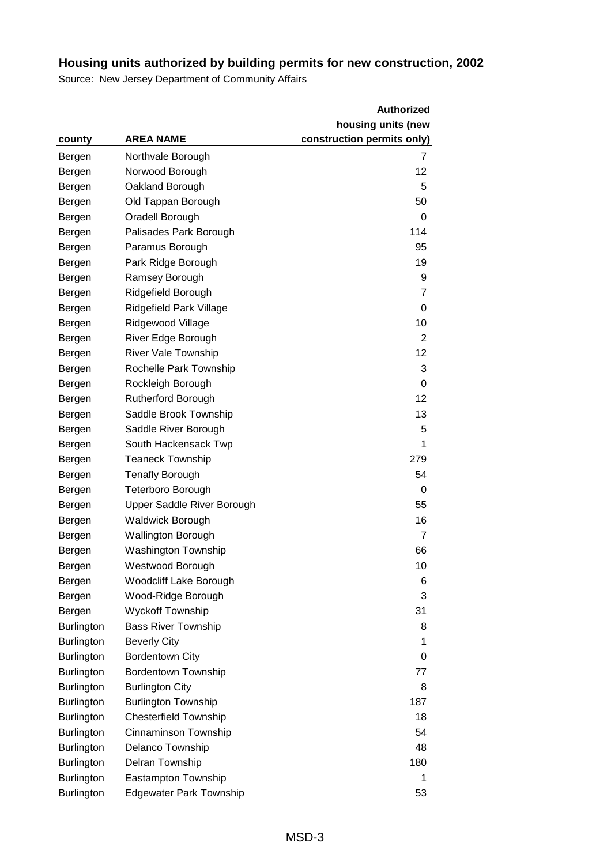|                   |                                | <b>Authorized</b>          |
|-------------------|--------------------------------|----------------------------|
|                   |                                | housing units (new         |
| county            | <b>AREA NAME</b>               | construction permits only) |
| Bergen            | Northvale Borough              | 7                          |
| Bergen            | Norwood Borough                | 12                         |
| Bergen            | Oakland Borough                | 5                          |
| Bergen            | Old Tappan Borough             | 50                         |
| Bergen            | Oradell Borough                | 0                          |
| Bergen            | Palisades Park Borough         | 114                        |
| Bergen            | Paramus Borough                | 95                         |
| Bergen            | Park Ridge Borough             | 19                         |
| Bergen            | Ramsey Borough                 | 9                          |
| Bergen            | Ridgefield Borough             | 7                          |
| Bergen            | Ridgefield Park Village        | 0                          |
| Bergen            | Ridgewood Village              | 10                         |
| Bergen            | River Edge Borough             | 2                          |
| Bergen            | <b>River Vale Township</b>     | 12                         |
| Bergen            | Rochelle Park Township         | 3                          |
| Bergen            | Rockleigh Borough              | 0                          |
| Bergen            | <b>Rutherford Borough</b>      | 12                         |
| Bergen            | Saddle Brook Township          | 13                         |
| Bergen            | Saddle River Borough           | 5                          |
| Bergen            | South Hackensack Twp           | 1                          |
| Bergen            | <b>Teaneck Township</b>        | 279                        |
| Bergen            | <b>Tenafly Borough</b>         | 54                         |
| Bergen            | <b>Teterboro Borough</b>       | 0                          |
| Bergen            | Upper Saddle River Borough     | 55                         |
| Bergen            | <b>Waldwick Borough</b>        | 16                         |
| Bergen            | <b>Wallington Borough</b>      | $\overline{7}$             |
| Bergen            | <b>Washington Township</b>     | 66                         |
| Bergen            | Westwood Borough               | 10                         |
| Bergen            | Woodcliff Lake Borough         | 6                          |
| Bergen            | Wood-Ridge Borough             | 3                          |
| Bergen            | Wyckoff Township               | 31                         |
| Burlington        | <b>Bass River Township</b>     | 8                          |
| <b>Burlington</b> | <b>Beverly City</b>            | 1                          |
| <b>Burlington</b> | <b>Bordentown City</b>         | 0                          |
| <b>Burlington</b> | <b>Bordentown Township</b>     | 77                         |
| <b>Burlington</b> | <b>Burlington City</b>         | 8                          |
| <b>Burlington</b> | <b>Burlington Township</b>     | 187                        |
| <b>Burlington</b> | <b>Chesterfield Township</b>   | 18                         |
| <b>Burlington</b> | Cinnaminson Township           | 54                         |
| Burlington        | Delanco Township               | 48                         |
| <b>Burlington</b> | Delran Township                | 180                        |
| Burlington        | Eastampton Township            | 1                          |
| <b>Burlington</b> | <b>Edgewater Park Township</b> | 53                         |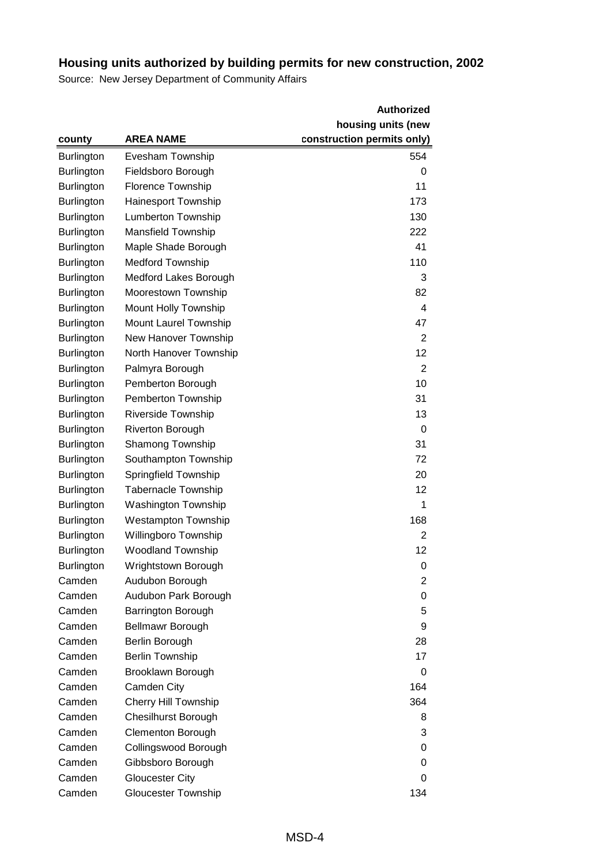|                   |                             | <b>Authorized</b>          |
|-------------------|-----------------------------|----------------------------|
|                   |                             | housing units (new         |
| county            | <b>AREA NAME</b>            | construction permits only) |
| <b>Burlington</b> | Evesham Township            | 554                        |
| <b>Burlington</b> | Fieldsboro Borough          | 0                          |
| <b>Burlington</b> | <b>Florence Township</b>    | 11                         |
| <b>Burlington</b> | Hainesport Township         | 173                        |
| Burlington        | Lumberton Township          | 130                        |
| Burlington        | <b>Mansfield Township</b>   | 222                        |
| <b>Burlington</b> | Maple Shade Borough         | 41                         |
| <b>Burlington</b> | <b>Medford Township</b>     | 110                        |
| <b>Burlington</b> | Medford Lakes Borough       | 3                          |
| Burlington        | Moorestown Township         | 82                         |
| <b>Burlington</b> | Mount Holly Township        | 4                          |
| Burlington        | Mount Laurel Township       | 47                         |
| <b>Burlington</b> | New Hanover Township        | 2                          |
| Burlington        | North Hanover Township      | 12                         |
| <b>Burlington</b> | Palmyra Borough             | 2                          |
| Burlington        | Pemberton Borough           | 10                         |
| <b>Burlington</b> | Pemberton Township          | 31                         |
| Burlington        | Riverside Township          | 13                         |
| Burlington        | <b>Riverton Borough</b>     | 0                          |
| <b>Burlington</b> | Shamong Township            | 31                         |
| <b>Burlington</b> | Southampton Township        | 72                         |
| <b>Burlington</b> | Springfield Township        | 20                         |
| Burlington        | <b>Tabernacle Township</b>  | 12                         |
| <b>Burlington</b> | <b>Washington Township</b>  | 1                          |
| Burlington        | <b>Westampton Township</b>  | 168                        |
| <b>Burlington</b> | Willingboro Township        | 2                          |
| Burlington        | <b>Woodland Township</b>    | 12                         |
| <b>Burlington</b> | Wrightstown Borough         | 0                          |
| Camden            | Audubon Borough             | $\overline{2}$             |
| Camden            | Audubon Park Borough        | 0                          |
| Camden            | <b>Barrington Borough</b>   | 5                          |
| Camden            | Bellmawr Borough            | 9                          |
| Camden            | Berlin Borough              | 28                         |
| Camden            | <b>Berlin Township</b>      | 17                         |
| Camden            | Brooklawn Borough           | 0                          |
| Camden            | Camden City                 | 164                        |
| Camden            | <b>Cherry Hill Township</b> | 364                        |
| Camden            | <b>Chesilhurst Borough</b>  | 8                          |
| Camden            | <b>Clementon Borough</b>    | 3                          |
| Camden            | Collingswood Borough        | 0                          |
| Camden            | Gibbsboro Borough           | 0                          |
| Camden            | <b>Gloucester City</b>      | 0                          |
| Camden            | <b>Gloucester Township</b>  | 134                        |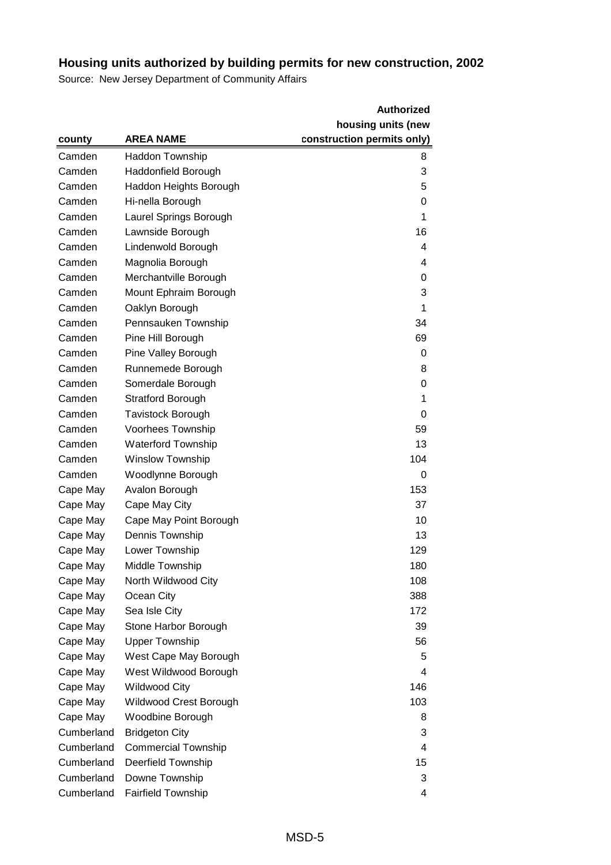|            |                            | <b>Authorized</b>          |
|------------|----------------------------|----------------------------|
|            |                            | housing units (new         |
| county     | <b>AREA NAME</b>           | construction permits only) |
| Camden     | <b>Haddon Township</b>     | 8                          |
| Camden     | Haddonfield Borough        | 3                          |
| Camden     | Haddon Heights Borough     | 5                          |
| Camden     | Hi-nella Borough           | 0                          |
| Camden     | Laurel Springs Borough     | 1                          |
| Camden     | Lawnside Borough           | 16                         |
| Camden     | Lindenwold Borough         | 4                          |
| Camden     | Magnolia Borough           | 4                          |
| Camden     | Merchantville Borough      | 0                          |
| Camden     | Mount Ephraim Borough      | 3                          |
| Camden     | Oaklyn Borough             | 1                          |
| Camden     | Pennsauken Township        | 34                         |
| Camden     | Pine Hill Borough          | 69                         |
| Camden     | Pine Valley Borough        | 0                          |
| Camden     | Runnemede Borough          | 8                          |
| Camden     | Somerdale Borough          | 0                          |
| Camden     | <b>Stratford Borough</b>   | 1                          |
| Camden     | <b>Tavistock Borough</b>   | 0                          |
| Camden     | Voorhees Township          | 59                         |
| Camden     | <b>Waterford Township</b>  | 13                         |
| Camden     | <b>Winslow Township</b>    | 104                        |
| Camden     | Woodlynne Borough          | 0                          |
| Cape May   | Avalon Borough             | 153                        |
| Cape May   | Cape May City              | 37                         |
| Cape May   | Cape May Point Borough     | 10                         |
| Cape May   | Dennis Township            | 13                         |
| Cape May   | Lower Township             | 129                        |
| Cape May   | Middle Township            | 180                        |
| Cape May   | North Wildwood City        | 108                        |
| Cape May   | Ocean City                 | 388                        |
| Cape May   | Sea Isle City              | 172                        |
| Cape May   | Stone Harbor Borough       | 39                         |
| Cape May   | <b>Upper Township</b>      | 56                         |
| Cape May   | West Cape May Borough      | 5                          |
| Cape May   | West Wildwood Borough      | 4                          |
| Cape May   | <b>Wildwood City</b>       | 146                        |
| Cape May   | Wildwood Crest Borough     | 103                        |
| Cape May   | Woodbine Borough           | 8                          |
| Cumberland | <b>Bridgeton City</b>      | 3                          |
| Cumberland | <b>Commercial Township</b> | 4                          |
| Cumberland | <b>Deerfield Township</b>  | 15                         |
| Cumberland | Downe Township             | 3                          |
| Cumberland | Fairfield Township         | 4                          |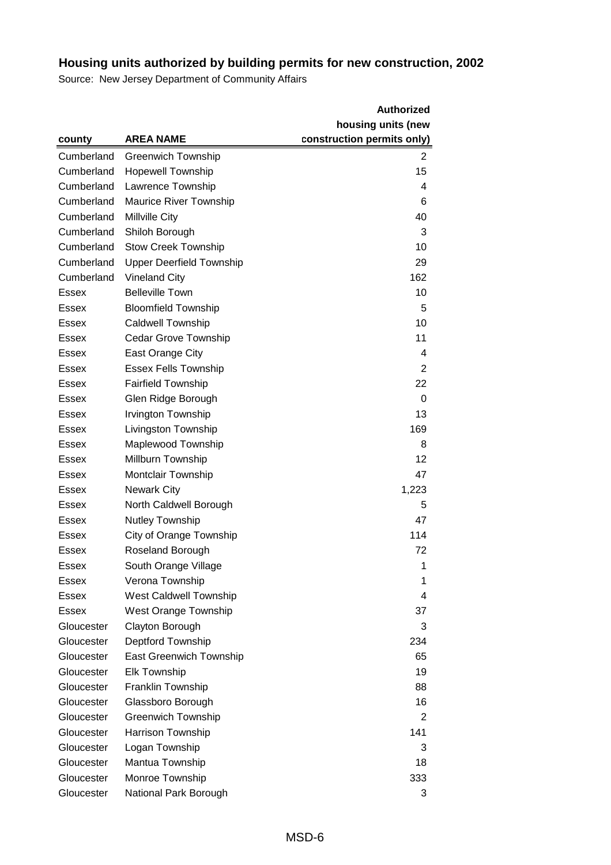|              |                                 | <b>Authorized</b>          |
|--------------|---------------------------------|----------------------------|
|              |                                 | housing units (new         |
| county       | <b>AREA NAME</b>                | construction permits only) |
| Cumberland   | <b>Greenwich Township</b>       | $\overline{2}$             |
| Cumberland   | <b>Hopewell Township</b>        | 15                         |
| Cumberland   | Lawrence Township               | 4                          |
| Cumberland   | <b>Maurice River Township</b>   | 6                          |
| Cumberland   | <b>Millville City</b>           | 40                         |
| Cumberland   | Shiloh Borough                  | 3                          |
| Cumberland   | <b>Stow Creek Township</b>      | 10                         |
| Cumberland   | <b>Upper Deerfield Township</b> | 29                         |
| Cumberland   | <b>Vineland City</b>            | 162                        |
| <b>Essex</b> | <b>Belleville Town</b>          | 10                         |
| Essex        | <b>Bloomfield Township</b>      | 5                          |
| <b>Essex</b> | <b>Caldwell Township</b>        | 10                         |
| Essex        | <b>Cedar Grove Township</b>     | 11                         |
| Essex        | East Orange City                | 4                          |
| Essex        | <b>Essex Fells Township</b>     | 2                          |
| Essex        | <b>Fairfield Township</b>       | 22                         |
| Essex        | Glen Ridge Borough              | 0                          |
| Essex        | Irvington Township              | 13                         |
| Essex        | Livingston Township             | 169                        |
| Essex        | Maplewood Township              | 8                          |
| <b>Essex</b> | Millburn Township               | 12                         |
| <b>Essex</b> | <b>Montclair Township</b>       | 47                         |
| <b>Essex</b> | <b>Newark City</b>              | 1,223                      |
| Essex        | North Caldwell Borough          | 5                          |
| Essex        | <b>Nutley Township</b>          | 47                         |
| Essex        | City of Orange Township         | 114                        |
| Essex        | Roseland Borough                | 72                         |
| Essex        | South Orange Village            | 1                          |
| Essex        | Verona Township                 | 1                          |
| <b>Essex</b> | <b>West Caldwell Township</b>   | 4                          |
| <b>Essex</b> | West Orange Township            | 37                         |
| Gloucester   | Clayton Borough                 | 3                          |
| Gloucester   | Deptford Township               | 234                        |
| Gloucester   | <b>East Greenwich Township</b>  | 65                         |
| Gloucester   | <b>Elk Township</b>             | 19                         |
| Gloucester   | Franklin Township               | 88                         |
| Gloucester   | Glassboro Borough               | 16                         |
| Gloucester   | <b>Greenwich Township</b>       | 2                          |
| Gloucester   | Harrison Township               | 141                        |
| Gloucester   | Logan Township                  | 3                          |
| Gloucester   | Mantua Township                 | 18                         |
| Gloucester   | Monroe Township                 | 333                        |
| Gloucester   | National Park Borough           | 3                          |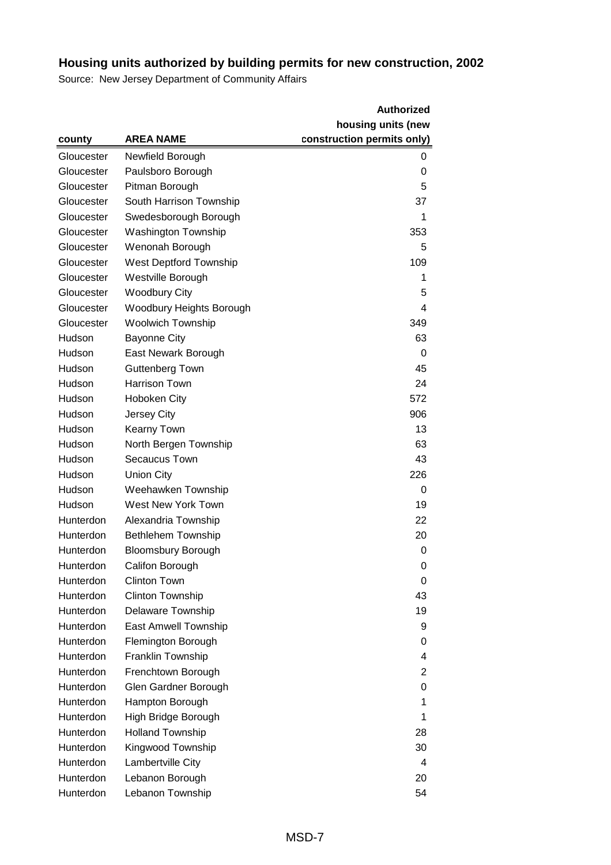|            |                            | <b>Authorized</b>          |
|------------|----------------------------|----------------------------|
|            |                            | housing units (new         |
| county     | <b>AREA NAME</b>           | construction permits only) |
| Gloucester | Newfield Borough           | 0                          |
| Gloucester | Paulsboro Borough          | 0                          |
| Gloucester | Pitman Borough             | 5                          |
| Gloucester | South Harrison Township    | 37                         |
| Gloucester | Swedesborough Borough      | 1                          |
| Gloucester | <b>Washington Township</b> | 353                        |
| Gloucester | Wenonah Borough            | 5                          |
| Gloucester | West Deptford Township     | 109                        |
| Gloucester | Westville Borough          | 1                          |
| Gloucester | <b>Woodbury City</b>       | 5                          |
| Gloucester | Woodbury Heights Borough   | 4                          |
| Gloucester | <b>Woolwich Township</b>   | 349                        |
| Hudson     | <b>Bayonne City</b>        | 63                         |
| Hudson     | East Newark Borough        | 0                          |
| Hudson     | Guttenberg Town            | 45                         |
| Hudson     | <b>Harrison Town</b>       | 24                         |
| Hudson     | Hoboken City               | 572                        |
| Hudson     | Jersey City                | 906                        |
| Hudson     | Kearny Town                | 13                         |
| Hudson     | North Bergen Township      | 63                         |
| Hudson     | Secaucus Town              | 43                         |
| Hudson     | <b>Union City</b>          | 226                        |
| Hudson     | Weehawken Township         | 0                          |
| Hudson     | West New York Town         | 19                         |
| Hunterdon  | Alexandria Township        | 22                         |
| Hunterdon  | <b>Bethlehem Township</b>  | 20                         |
| Hunterdon  | <b>Bloomsbury Borough</b>  | 0                          |
| Hunterdon  | Califon Borough            | 0                          |
| Hunterdon  | <b>Clinton Town</b>        | 0                          |
| Hunterdon  | Clinton Township           | 43                         |
| Hunterdon  | Delaware Township          | 19                         |
| Hunterdon  | East Amwell Township       | 9                          |
| Hunterdon  | Flemington Borough         | 0                          |
| Hunterdon  | Franklin Township          | 4                          |
| Hunterdon  | Frenchtown Borough         | 2                          |
| Hunterdon  | Glen Gardner Borough       | 0                          |
| Hunterdon  | Hampton Borough            | 1                          |
| Hunterdon  | High Bridge Borough        | 1                          |
| Hunterdon  | <b>Holland Township</b>    | 28                         |
| Hunterdon  | Kingwood Township          | 30                         |
| Hunterdon  | Lambertville City          | 4                          |
| Hunterdon  | Lebanon Borough            | 20                         |
| Hunterdon  | Lebanon Township           | 54                         |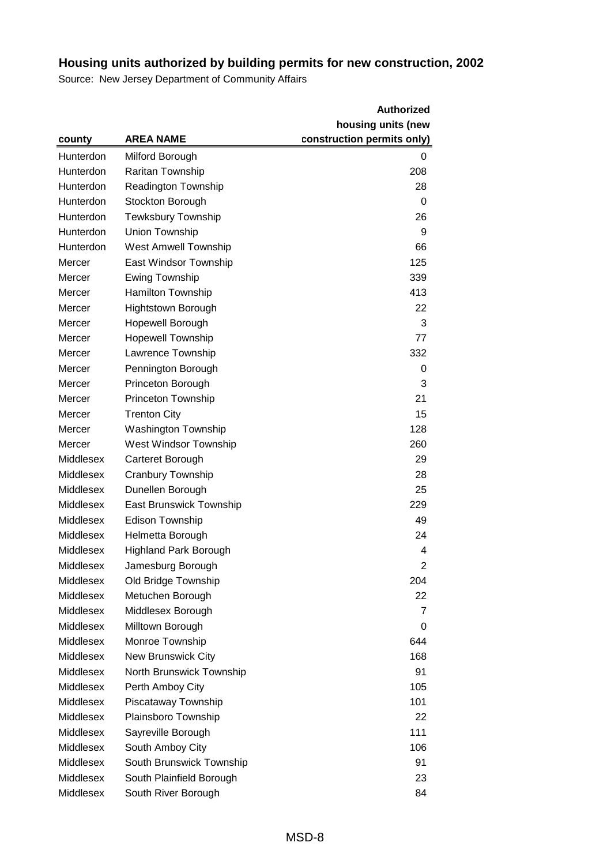|           |                              | <b>Authorized</b>          |
|-----------|------------------------------|----------------------------|
|           |                              | housing units (new         |
| county    | <b>AREA NAME</b>             | construction permits only) |
| Hunterdon | Milford Borough              | 0                          |
| Hunterdon | Raritan Township             | 208                        |
| Hunterdon | <b>Readington Township</b>   | 28                         |
| Hunterdon | Stockton Borough             | 0                          |
| Hunterdon | <b>Tewksbury Township</b>    | 26                         |
| Hunterdon | Union Township               | 9                          |
| Hunterdon | <b>West Amwell Township</b>  | 66                         |
| Mercer    | East Windsor Township        | 125                        |
| Mercer    | <b>Ewing Township</b>        | 339                        |
| Mercer    | Hamilton Township            | 413                        |
| Mercer    | <b>Hightstown Borough</b>    | 22                         |
| Mercer    | Hopewell Borough             | 3                          |
| Mercer    | <b>Hopewell Township</b>     | 77                         |
| Mercer    | Lawrence Township            | 332                        |
| Mercer    | Pennington Borough           | 0                          |
| Mercer    | Princeton Borough            | 3                          |
| Mercer    | Princeton Township           | 21                         |
| Mercer    | <b>Trenton City</b>          | 15                         |
| Mercer    | <b>Washington Township</b>   | 128                        |
| Mercer    | West Windsor Township        | 260                        |
| Middlesex | Carteret Borough             | 29                         |
| Middlesex | Cranbury Township            | 28                         |
| Middlesex | Dunellen Borough             | 25                         |
| Middlesex | East Brunswick Township      | 229                        |
| Middlesex | <b>Edison Township</b>       | 49                         |
| Middlesex | Helmetta Borough             | 24                         |
| Middlesex | <b>Highland Park Borough</b> | 4                          |
| Middlesex | Jamesburg Borough            | $\overline{2}$             |
| Middlesex | Old Bridge Township          | 204                        |
| Middlesex | Metuchen Borough             | 22                         |
| Middlesex | Middlesex Borough            | 7                          |
| Middlesex | Milltown Borough             | 0                          |
| Middlesex | Monroe Township              | 644                        |
| Middlesex | New Brunswick City           | 168                        |
| Middlesex | North Brunswick Township     | 91                         |
| Middlesex | Perth Amboy City             | 105                        |
| Middlesex | Piscataway Township          | 101                        |
| Middlesex | Plainsboro Township          | 22                         |
| Middlesex | Sayreville Borough           | 111                        |
| Middlesex | South Amboy City             | 106                        |
| Middlesex | South Brunswick Township     | 91                         |
| Middlesex | South Plainfield Borough     | 23                         |
| Middlesex | South River Borough          | 84                         |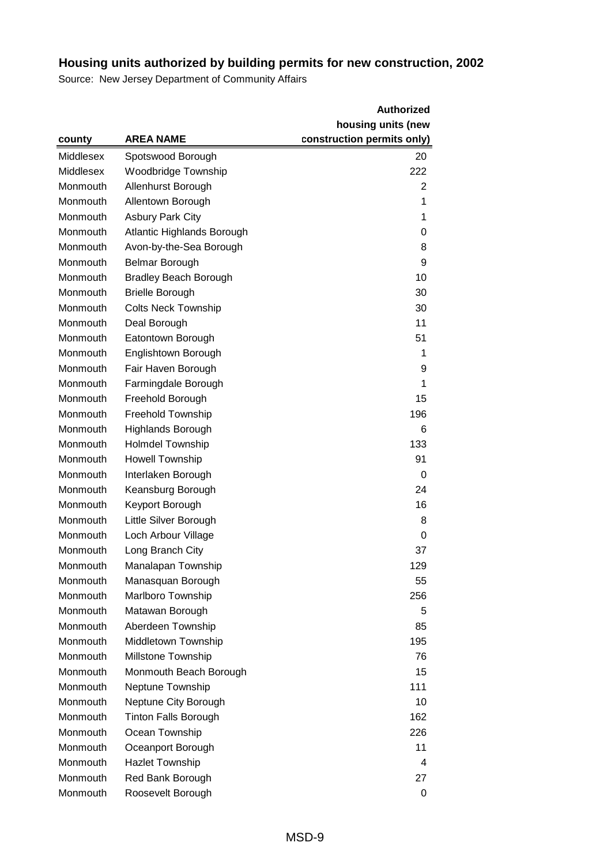|           |                              | <b>Authorized</b>          |
|-----------|------------------------------|----------------------------|
|           |                              | housing units (new         |
| county    | <b>AREA NAME</b>             | construction permits only) |
| Middlesex | Spotswood Borough            | 20                         |
| Middlesex | Woodbridge Township          | 222                        |
| Monmouth  | Allenhurst Borough           | 2                          |
| Monmouth  | Allentown Borough            | 1                          |
| Monmouth  | <b>Asbury Park City</b>      | 1                          |
| Monmouth  | Atlantic Highlands Borough   | 0                          |
| Monmouth  | Avon-by-the-Sea Borough      | 8                          |
| Monmouth  | <b>Belmar Borough</b>        | 9                          |
| Monmouth  | <b>Bradley Beach Borough</b> | 10                         |
| Monmouth  | <b>Brielle Borough</b>       | 30                         |
| Monmouth  | <b>Colts Neck Township</b>   | 30                         |
| Monmouth  | Deal Borough                 | 11                         |
| Monmouth  | Eatontown Borough            | 51                         |
| Monmouth  | Englishtown Borough          | 1                          |
| Monmouth  | Fair Haven Borough           | 9                          |
| Monmouth  | Farmingdale Borough          | 1                          |
| Monmouth  | Freehold Borough             | 15                         |
| Monmouth  | <b>Freehold Township</b>     | 196                        |
| Monmouth  | <b>Highlands Borough</b>     | 6                          |
| Monmouth  | <b>Holmdel Township</b>      | 133                        |
| Monmouth  | <b>Howell Township</b>       | 91                         |
| Monmouth  | Interlaken Borough           | 0                          |
| Monmouth  | Keansburg Borough            | 24                         |
| Monmouth  | Keyport Borough              | 16                         |
| Monmouth  | Little Silver Borough        | 8                          |
| Monmouth  | Loch Arbour Village          | 0                          |
| Monmouth  | Long Branch City             | 37                         |
| Monmouth  | Manalapan Township           | 129                        |
| Monmouth  | Manasquan Borough            | 55                         |
| Monmouth  | Marlboro Township            | 256                        |
| Monmouth  | Matawan Borough              | 5                          |
| Monmouth  | Aberdeen Township            | 85                         |
| Monmouth  | Middletown Township          | 195                        |
| Monmouth  | Millstone Township           | 76                         |
| Monmouth  | Monmouth Beach Borough       | 15                         |
| Monmouth  | Neptune Township             | 111                        |
| Monmouth  | Neptune City Borough         | 10                         |
| Monmouth  | <b>Tinton Falls Borough</b>  | 162                        |
| Monmouth  | Ocean Township               | 226                        |
| Monmouth  | Oceanport Borough            | 11                         |
| Monmouth  | <b>Hazlet Township</b>       | 4                          |
| Monmouth  | Red Bank Borough             | 27                         |
| Monmouth  | Roosevelt Borough            | 0                          |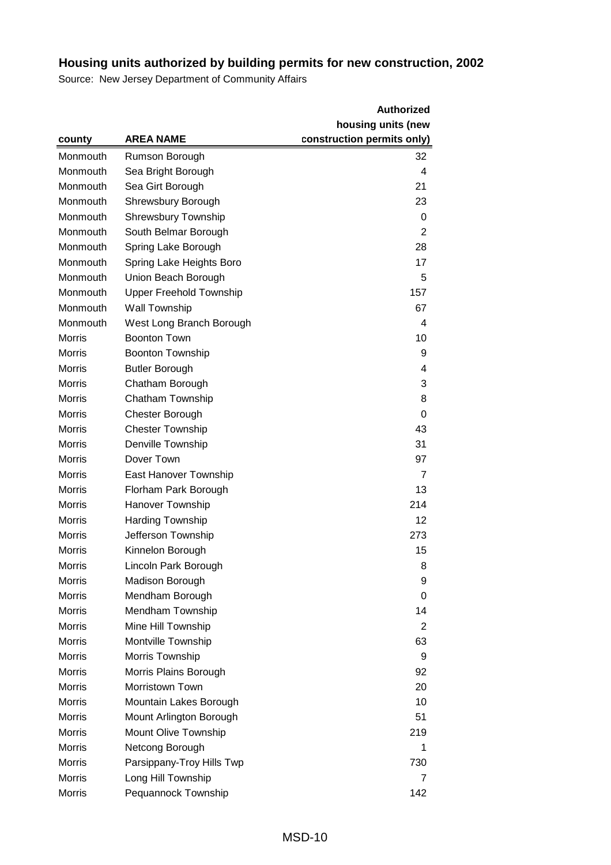|               |                                | <b>Authorized</b>          |
|---------------|--------------------------------|----------------------------|
|               |                                | housing units (new         |
| county        | <b>AREA NAME</b>               | construction permits only) |
| Monmouth      | Rumson Borough                 | 32                         |
| Monmouth      | Sea Bright Borough             | 4                          |
| Monmouth      | Sea Girt Borough               | 21                         |
| Monmouth      | Shrewsbury Borough             | 23                         |
| Monmouth      | <b>Shrewsbury Township</b>     | 0                          |
| Monmouth      | South Belmar Borough           | $\overline{2}$             |
| Monmouth      | Spring Lake Borough            | 28                         |
| Monmouth      | Spring Lake Heights Boro       | 17                         |
| Monmouth      | Union Beach Borough            | 5                          |
| Monmouth      | <b>Upper Freehold Township</b> | 157                        |
| Monmouth      | Wall Township                  | 67                         |
| Monmouth      | West Long Branch Borough       | 4                          |
| <b>Morris</b> | <b>Boonton Town</b>            | 10                         |
| <b>Morris</b> | <b>Boonton Township</b>        | 9                          |
| <b>Morris</b> | <b>Butler Borough</b>          | 4                          |
| <b>Morris</b> | Chatham Borough                | 3                          |
| <b>Morris</b> | <b>Chatham Township</b>        | 8                          |
| <b>Morris</b> | <b>Chester Borough</b>         | 0                          |
| <b>Morris</b> | <b>Chester Township</b>        | 43                         |
| <b>Morris</b> | Denville Township              | 31                         |
| <b>Morris</b> | Dover Town                     | 97                         |
| <b>Morris</b> | East Hanover Township          | $\overline{7}$             |
| <b>Morris</b> | Florham Park Borough           | 13                         |
| <b>Morris</b> | Hanover Township               | 214                        |
| <b>Morris</b> | <b>Harding Township</b>        | 12                         |
| <b>Morris</b> | Jefferson Township             | 273                        |
| <b>Morris</b> | Kinnelon Borough               | 15                         |
| Morris        | Lincoln Park Borough           | 8                          |
| Morris        | Madison Borough                | 9                          |
| <b>Morris</b> | Mendham Borough                | 0                          |
| <b>Morris</b> | Mendham Township               | 14                         |
| <b>Morris</b> | Mine Hill Township             | 2                          |
| <b>Morris</b> | Montville Township             | 63                         |
| <b>Morris</b> | Morris Township                | 9                          |
| <b>Morris</b> | Morris Plains Borough          | 92                         |
| <b>Morris</b> | <b>Morristown Town</b>         | 20                         |
| <b>Morris</b> | Mountain Lakes Borough         | 10                         |
| <b>Morris</b> | Mount Arlington Borough        | 51                         |
| <b>Morris</b> | Mount Olive Township           | 219                        |
| <b>Morris</b> | Netcong Borough                | 1                          |
| <b>Morris</b> | Parsippany-Troy Hills Twp      | 730                        |
| <b>Morris</b> | Long Hill Township             | 7                          |
| <b>Morris</b> | Pequannock Township            | 142                        |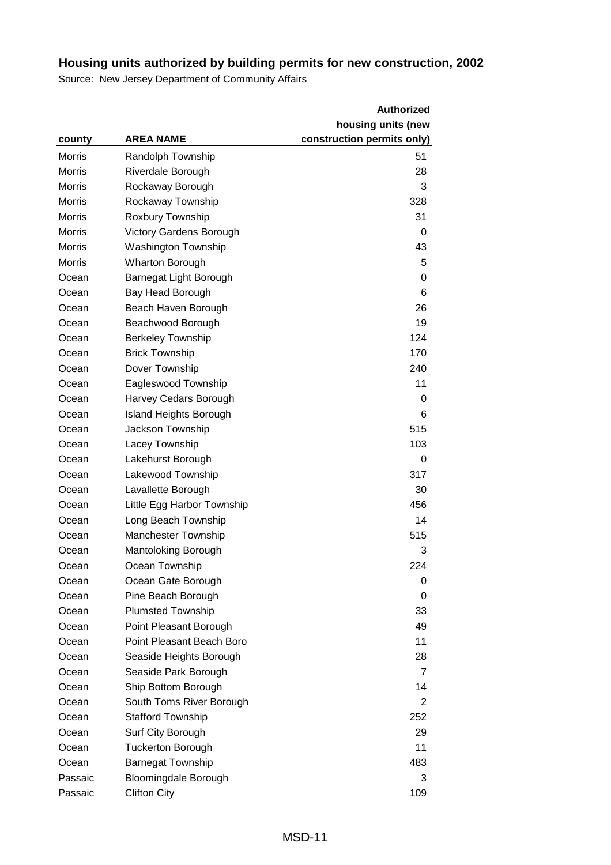|               |                                | <b>Authorized</b>          |
|---------------|--------------------------------|----------------------------|
|               |                                | housing units (new         |
| county        | <b>AREA NAME</b>               | construction permits only) |
| <b>Morris</b> | Randolph Township              | 51                         |
| <b>Morris</b> | Riverdale Borough              | 28                         |
| <b>Morris</b> | Rockaway Borough               | 3                          |
| <b>Morris</b> | Rockaway Township              | 328                        |
| <b>Morris</b> | Roxbury Township               | 31                         |
| <b>Morris</b> | <b>Victory Gardens Borough</b> | 0                          |
| <b>Morris</b> | <b>Washington Township</b>     | 43                         |
| Morris        | <b>Wharton Borough</b>         | 5                          |
| Ocean         | Barnegat Light Borough         | 0                          |
| Ocean         | Bay Head Borough               | 6                          |
| Ocean         | Beach Haven Borough            | 26                         |
| Ocean         | Beachwood Borough              | 19                         |
| Ocean         | <b>Berkeley Township</b>       | 124                        |
| Ocean         | <b>Brick Township</b>          | 170                        |
| Ocean         | Dover Township                 | 240                        |
| Ocean         | Eagleswood Township            | 11                         |
| Ocean         | Harvey Cedars Borough          | 0                          |
| Ocean         | <b>Island Heights Borough</b>  | 6                          |
| Ocean         | Jackson Township               | 515                        |
| Ocean         | Lacey Township                 | 103                        |
| Ocean         | Lakehurst Borough              | 0                          |
| Ocean         | Lakewood Township              | 317                        |
| Ocean         | Lavallette Borough             | 30                         |
| Ocean         | Little Egg Harbor Township     | 456                        |
| Ocean         | Long Beach Township            | 14                         |
| Ocean         | <b>Manchester Township</b>     | 515                        |
| Ocean         | <b>Mantoloking Borough</b>     | 3                          |
| Ocean         | Ocean Township                 | 224                        |
| Ocean         | Ocean Gate Borough             | 0                          |
| Ocean         | Pine Beach Borough             | 0                          |
| Ocean         | <b>Plumsted Township</b>       | 33                         |
| Ocean         | Point Pleasant Borough         | 49                         |
| Ocean         | Point Pleasant Beach Boro      | 11                         |
| Ocean         | Seaside Heights Borough        | 28                         |
| Ocean         | Seaside Park Borough           | 7                          |
| Ocean         | Ship Bottom Borough            | 14                         |
| Ocean         | South Toms River Borough       | 2                          |
| Ocean         | <b>Stafford Township</b>       | 252                        |
| Ocean         | Surf City Borough              | 29                         |
| Ocean         | <b>Tuckerton Borough</b>       | 11                         |
| Ocean         | <b>Barnegat Township</b>       | 483                        |
| Passaic       | Bloomingdale Borough           | 3                          |
| Passaic       | <b>Clifton City</b>            | 109                        |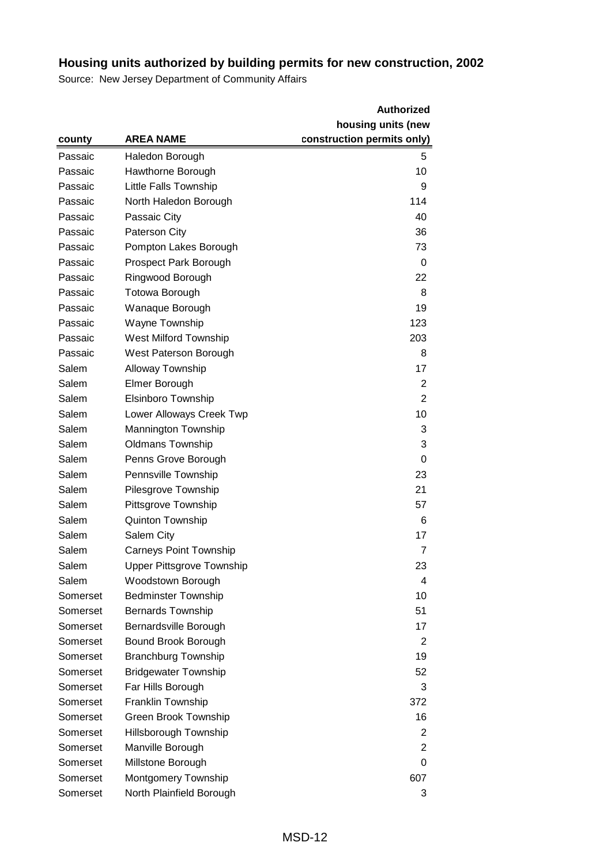|          |                                  | <b>Authorized</b>          |
|----------|----------------------------------|----------------------------|
|          |                                  | housing units (new         |
| county   | <b>AREA NAME</b>                 | construction permits only) |
| Passaic  | Haledon Borough                  | 5                          |
| Passaic  | Hawthorne Borough                | 10                         |
| Passaic  | Little Falls Township            | 9                          |
| Passaic  | North Haledon Borough            | 114                        |
| Passaic  | Passaic City                     | 40                         |
| Passaic  | Paterson City                    | 36                         |
| Passaic  | Pompton Lakes Borough            | 73                         |
| Passaic  | <b>Prospect Park Borough</b>     | 0                          |
| Passaic  | Ringwood Borough                 | 22                         |
| Passaic  | Totowa Borough                   | 8                          |
| Passaic  | Wanaque Borough                  | 19                         |
| Passaic  | Wayne Township                   | 123                        |
| Passaic  | West Milford Township            | 203                        |
| Passaic  | West Paterson Borough            | 8                          |
| Salem    | <b>Alloway Township</b>          | 17                         |
| Salem    | Elmer Borough                    | 2                          |
| Salem    | Elsinboro Township               | $\overline{2}$             |
| Salem    | Lower Alloways Creek Twp         | 10                         |
| Salem    | Mannington Township              | 3                          |
| Salem    | <b>Oldmans Township</b>          | 3                          |
| Salem    | Penns Grove Borough              | 0                          |
| Salem    | Pennsville Township              | 23                         |
| Salem    | Pilesgrove Township              | 21                         |
| Salem    | Pittsgrove Township              | 57                         |
| Salem    | Quinton Township                 | 6                          |
| Salem    | Salem City                       | 17                         |
| Salem    | <b>Carneys Point Township</b>    | 7                          |
| Salem    | <b>Upper Pittsgrove Township</b> | 23                         |
| Salem    | Woodstown Borough                | 4                          |
| Somerset | <b>Bedminster Township</b>       | 10                         |
| Somerset | <b>Bernards Township</b>         | 51                         |
| Somerset | Bernardsville Borough            | 17                         |
| Somerset | Bound Brook Borough              | 2                          |
| Somerset | <b>Branchburg Township</b>       | 19                         |
| Somerset | <b>Bridgewater Township</b>      | 52                         |
| Somerset | Far Hills Borough                | 3                          |
| Somerset | Franklin Township                | 372                        |
| Somerset | Green Brook Township             | 16                         |
| Somerset | Hillsborough Township            | 2                          |
| Somerset | Manville Borough                 | 2                          |
| Somerset | Millstone Borough                | 0                          |
| Somerset | Montgomery Township              | 607                        |
| Somerset | North Plainfield Borough         | 3                          |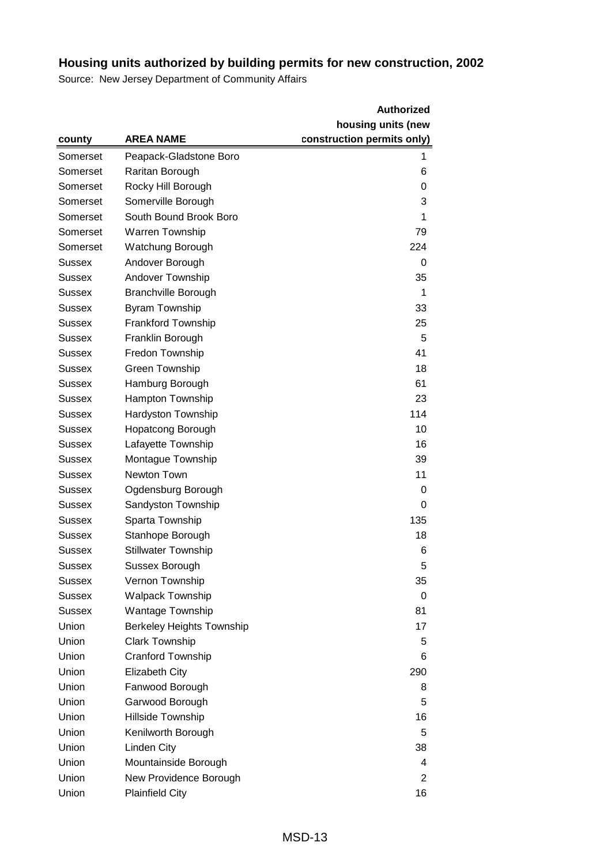|               |                                  | <b>Authorized</b>          |
|---------------|----------------------------------|----------------------------|
|               |                                  | housing units (new         |
| county        | <b>AREA NAME</b>                 | construction permits only) |
| Somerset      | Peapack-Gladstone Boro           | 1                          |
| Somerset      | Raritan Borough                  | 6                          |
| Somerset      | Rocky Hill Borough               | 0                          |
| Somerset      | Somerville Borough               | 3                          |
| Somerset      | South Bound Brook Boro           | 1                          |
| Somerset      | Warren Township                  | 79                         |
| Somerset      | Watchung Borough                 | 224                        |
| Sussex        | Andover Borough                  | 0                          |
| Sussex        | Andover Township                 | 35                         |
| Sussex        | <b>Branchville Borough</b>       | 1                          |
| Sussex        | <b>Byram Township</b>            | 33                         |
| Sussex        | Frankford Township               | 25                         |
| Sussex        | Franklin Borough                 | 5                          |
| Sussex        | Fredon Township                  | 41                         |
| Sussex        | <b>Green Township</b>            | 18                         |
| Sussex        | Hamburg Borough                  | 61                         |
| Sussex        | Hampton Township                 | 23                         |
| Sussex        | <b>Hardyston Township</b>        | 114                        |
| Sussex        | <b>Hopatcong Borough</b>         | 10                         |
| Sussex        | Lafayette Township               | 16                         |
| Sussex        | Montague Township                | 39                         |
| Sussex        | Newton Town                      | 11                         |
| Sussex        | Ogdensburg Borough               | 0                          |
| Sussex        | Sandyston Township               | 0                          |
| Sussex        | Sparta Township                  | 135                        |
| Sussex        | Stanhope Borough                 | 18                         |
| <b>Sussex</b> | <b>Stillwater Township</b>       | 6                          |
| <b>Sussex</b> | Sussex Borough                   | 5                          |
| Sussex        | Vernon Township                  | 35                         |
| <b>Sussex</b> | <b>Walpack Township</b>          | 0                          |
| Sussex        | <b>Wantage Township</b>          | 81                         |
| Union         | <b>Berkeley Heights Township</b> | 17                         |
| Union         | <b>Clark Township</b>            | 5                          |
| Union         | Cranford Township                | 6                          |
| Union         | <b>Elizabeth City</b>            | 290                        |
| Union         | Fanwood Borough                  | 8                          |
| Union         | Garwood Borough                  | 5                          |
| Union         | Hillside Township                | 16                         |
| Union         | Kenilworth Borough               | 5                          |
| Union         | Linden City                      | 38                         |
| Union         | Mountainside Borough             | 4                          |
| Union         | New Providence Borough           | 2                          |
| Union         | <b>Plainfield City</b>           | 16                         |